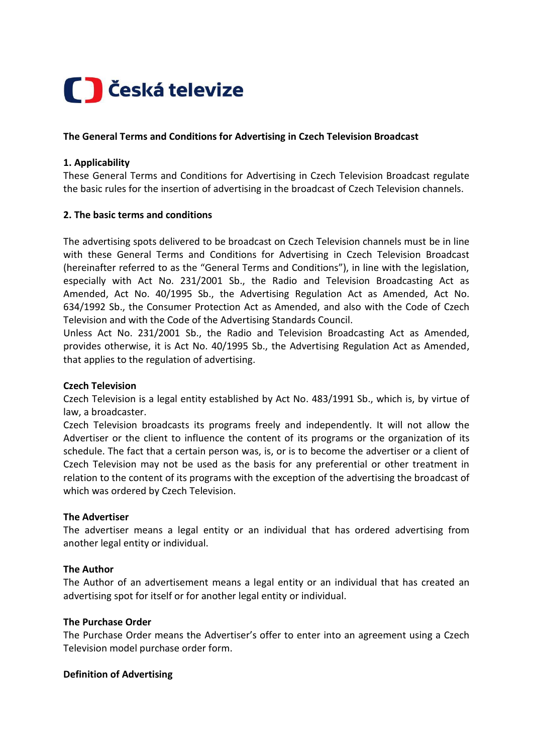# Ceská televize

## **The General Terms and Conditions for Advertising in Czech Television Broadcast**

## **1. Applicability**

These General Terms and Conditions for Advertising in Czech Television Broadcast regulate the basic rules for the insertion of advertising in the broadcast of Czech Television channels.

## **2. The basic terms and conditions**

The advertising spots delivered to be broadcast on Czech Television channels must be in line with these General Terms and Conditions for Advertising in Czech Television Broadcast (hereinafter referred to as the "General Terms and Conditions"), in line with the legislation, especially with Act No. 231/2001 Sb., the Radio and Television Broadcasting Act as Amended, Act No. 40/1995 Sb., the Advertising Regulation Act as Amended, Act No. 634/1992 Sb., the Consumer Protection Act as Amended, and also with the Code of Czech Television and with the Code of the Advertising Standards Council.

Unless Act No. 231/2001 Sb., the Radio and Television Broadcasting Act as Amended, provides otherwise, it is Act No. 40/1995 Sb., the Advertising Regulation Act as Amended, that applies to the regulation of advertising.

#### **Czech Television**

Czech Television is a legal entity established by Act No. 483/1991 Sb., which is, by virtue of law, a broadcaster.

Czech Television broadcasts its programs freely and independently. It will not allow the Advertiser or the client to influence the content of its programs or the organization of its schedule. The fact that a certain person was, is, or is to become the advertiser or a client of Czech Television may not be used as the basis for any preferential or other treatment in relation to the content of its programs with the exception of the advertising the broadcast of which was ordered by Czech Television.

#### **The Advertiser**

The advertiser means a legal entity or an individual that has ordered advertising from another legal entity or individual.

#### **The Author**

The Author of an advertisement means a legal entity or an individual that has created an advertising spot for itself or for another legal entity or individual.

#### **The Purchase Order**

The Purchase Order means the Advertiser's offer to enter into an agreement using a Czech Television model purchase order form.

#### **Definition of Advertising**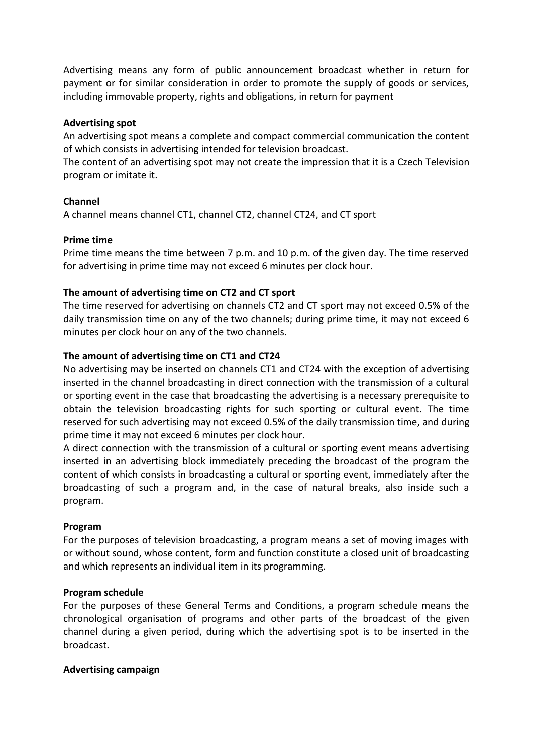Advertising means any form of public announcement broadcast whether in return for payment or for similar consideration in order to promote the supply of goods or services, including immovable property, rights and obligations, in return for payment

#### **Advertising spot**

An advertising spot means a complete and compact commercial communication the content of which consists in advertising intended for television broadcast.

The content of an advertising spot may not create the impression that it is a Czech Television program or imitate it.

#### **Channel**

A channel means channel CT1, channel CT2, channel CT24, and CT sport

#### **Prime time**

Prime time means the time between 7 p.m. and 10 p.m. of the given day. The time reserved for advertising in prime time may not exceed 6 minutes per clock hour.

#### **The amount of advertising time on CT2 and CT sport**

The time reserved for advertising on channels CT2 and CT sport may not exceed 0.5% of the daily transmission time on any of the two channels; during prime time, it may not exceed 6 minutes per clock hour on any of the two channels.

#### **The amount of advertising time on CT1 and CT24**

No advertising may be inserted on channels CT1 and CT24 with the exception of advertising inserted in the channel broadcasting in direct connection with the transmission of a cultural or sporting event in the case that broadcasting the advertising is a necessary prerequisite to obtain the television broadcasting rights for such sporting or cultural event. The time reserved for such advertising may not exceed 0.5% of the daily transmission time, and during prime time it may not exceed 6 minutes per clock hour.

A direct connection with the transmission of a cultural or sporting event means advertising inserted in an advertising block immediately preceding the broadcast of the program the content of which consists in broadcasting a cultural or sporting event, immediately after the broadcasting of such a program and, in the case of natural breaks, also inside such a program.

#### **Program**

For the purposes of television broadcasting, a program means a set of moving images with or without sound, whose content, form and function constitute a closed unit of broadcasting and which represents an individual item in its programming.

#### **Program schedule**

For the purposes of these General Terms and Conditions, a program schedule means the chronological organisation of programs and other parts of the broadcast of the given channel during a given period, during which the advertising spot is to be inserted in the broadcast.

#### **Advertising campaign**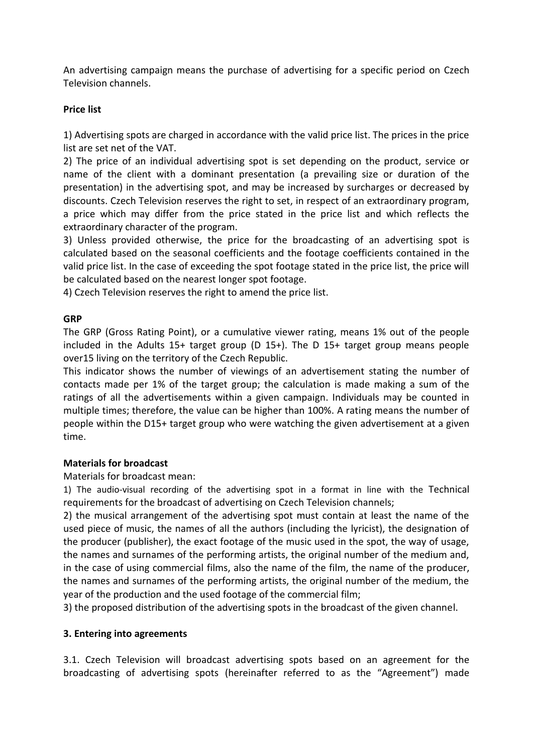An advertising campaign means the purchase of advertising for a specific period on Czech Television channels.

# **Price list**

1) Advertising spots are charged in accordance with the valid price list. The prices in the price list are set net of the VAT.

2) The price of an individual advertising spot is set depending on the product, service or name of the client with a dominant presentation (a prevailing size or duration of the presentation) in the advertising spot, and may be increased by surcharges or decreased by discounts. Czech Television reserves the right to set, in respect of an extraordinary program, a price which may differ from the price stated in the price list and which reflects the extraordinary character of the program.

3) Unless provided otherwise, the price for the broadcasting of an advertising spot is calculated based on the seasonal coefficients and the footage coefficients contained in the valid price list. In the case of exceeding the spot footage stated in the price list, the price will be calculated based on the nearest longer spot footage.

4) Czech Television reserves the right to amend the price list.

## **GRP**

The GRP (Gross Rating Point), or a cumulative viewer rating, means 1% out of the people included in the Adults 15+ target group (D 15+). The D 15+ target group means people over15 living on the territory of the Czech Republic.

This indicator shows the number of viewings of an advertisement stating the number of contacts made per 1% of the target group; the calculation is made making a sum of the ratings of all the advertisements within a given campaign. Individuals may be counted in multiple times; therefore, the value can be higher than 100%. A rating means the number of people within the D15+ target group who were watching the given advertisement at a given time.

#### **Materials for broadcast**

Materials for broadcast mean:

1) The audio-visual recording of the advertising spot in a format in line with the Technical requirements for the broadcast of advertising on Czech Television channels;

2) the musical arrangement of the advertising spot must contain at least the name of the used piece of music, the names of all the authors (including the lyricist), the designation of the producer (publisher), the exact footage of the music used in the spot, the way of usage, the names and surnames of the performing artists, the original number of the medium and, in the case of using commercial films, also the name of the film, the name of the producer, the names and surnames of the performing artists, the original number of the medium, the year of the production and the used footage of the commercial film;

3) the proposed distribution of the advertising spots in the broadcast of the given channel.

#### **3. Entering into agreements**

3.1. Czech Television will broadcast advertising spots based on an agreement for the broadcasting of advertising spots (hereinafter referred to as the "Agreement") made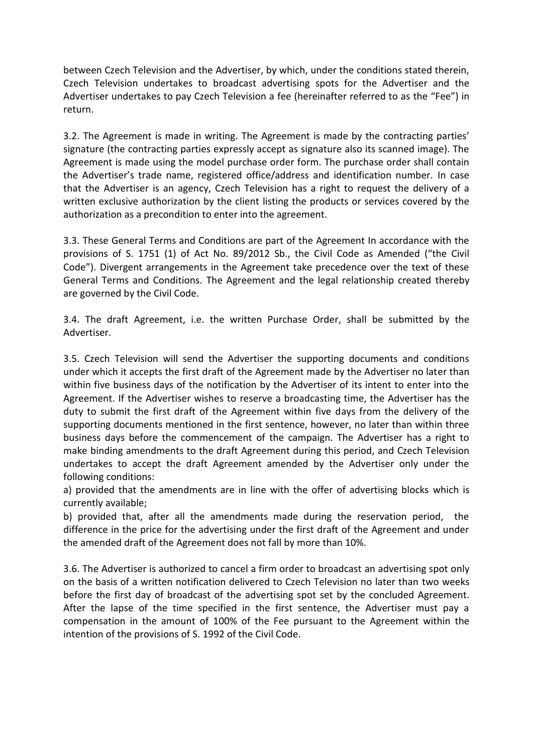between Czech Television and the Advertiser, by which, under the conditions stated therein, Czech Television undertakes to broadcast advertising spots for the Advertiser and the Advertiser undertakes to pay Czech Television a fee (hereinafter referred to as the "Fee") in return.

3.2. The Agreement is made in writing. The Agreement is made by the contracting parties' signature (the contracting parties expressly accept as signature also its scanned image). The Agreement is made using the model purchase order form. The purchase order shall contain the Advertiser's trade name, registered office/address and identification number. In case that the Advertiser is an agency, Czech Television has a right to request the delivery of a written exclusive authorization by the client listing the products or services covered by the authorization as a precondition to enter into the agreement.

3.3. These General Terms and Conditions are part of the Agreement In accordance with the provisions of S. 1751 (1) of Act No. 89/2012 Sb., the Civil Code as Amended ("the Civil Code"). Divergent arrangements in the Agreement take precedence over the text of these General Terms and Conditions. The Agreement and the legal relationship created thereby are governed by the Civil Code.

3.4. The draft Agreement, i.e. the written Purchase Order, shall be submitted by the Advertiser.

3.5. Czech Television will send the Advertiser the supporting documents and conditions under which it accepts the first draft of the Agreement made by the Advertiser no later than within five business days of the notification by the Advertiser of its intent to enter into the Agreement. If the Advertiser wishes to reserve a broadcasting time, the Advertiser has the duty to submit the first draft of the Agreement within five days from the delivery of the supporting documents mentioned in the first sentence, however, no later than within three business days before the commencement of the campaign. The Advertiser has a right to make binding amendments to the draft Agreement during this period, and Czech Television undertakes to accept the draft Agreement amended by the Advertiser only under the following conditions:

a) provided that the amendments are in line with the offer of advertising blocks which is currently available;

b) provided that, after all the amendments made during the reservation period, the difference in the price for the advertising under the first draft of the Agreement and under the amended draft of the Agreement does not fall by more than 10%.

3.6. The Advertiser is authorized to cancel a firm order to broadcast an advertising spot only on the basis of a written notification delivered to Czech Television no later than two weeks before the first day of broadcast of the advertising spot set by the concluded Agreement. After the lapse of the time specified in the first sentence, the Advertiser must pay a compensation in the amount of 100% of the Fee pursuant to the Agreement within the intention of the provisions of S. 1992 of the Civil Code.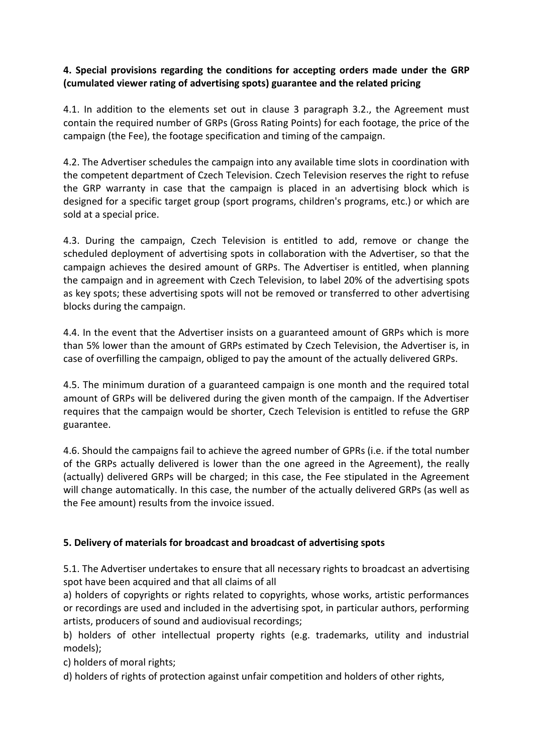## **4. Special provisions regarding the conditions for accepting orders made under the GRP (cumulated viewer rating of advertising spots) guarantee and the related pricing**

4.1. In addition to the elements set out in clause 3 paragraph 3.2., the Agreement must contain the required number of GRPs (Gross Rating Points) for each footage, the price of the campaign (the Fee), the footage specification and timing of the campaign.

4.2. The Advertiser schedules the campaign into any available time slots in coordination with the competent department of Czech Television. Czech Television reserves the right to refuse the GRP warranty in case that the campaign is placed in an advertising block which is designed for a specific target group (sport programs, children's programs, etc.) or which are sold at a special price.

4.3. During the campaign, Czech Television is entitled to add, remove or change the scheduled deployment of advertising spots in collaboration with the Advertiser, so that the campaign achieves the desired amount of GRPs. The Advertiser is entitled, when planning the campaign and in agreement with Czech Television, to label 20% of the advertising spots as key spots; these advertising spots will not be removed or transferred to other advertising blocks during the campaign.

4.4. In the event that the Advertiser insists on a guaranteed amount of GRPs which is more than 5% lower than the amount of GRPs estimated by Czech Television, the Advertiser is, in case of overfilling the campaign, obliged to pay the amount of the actually delivered GRPs.

4.5. The minimum duration of a guaranteed campaign is one month and the required total amount of GRPs will be delivered during the given month of the campaign. If the Advertiser requires that the campaign would be shorter, Czech Television is entitled to refuse the GRP guarantee.

4.6. Should the campaigns fail to achieve the agreed number of GPRs (i.e. if the total number of the GRPs actually delivered is lower than the one agreed in the Agreement), the really (actually) delivered GRPs will be charged; in this case, the Fee stipulated in the Agreement will change automatically. In this case, the number of the actually delivered GRPs (as well as the Fee amount) results from the invoice issued.

# **5. Delivery of materials for broadcast and broadcast of advertising spots**

5.1. The Advertiser undertakes to ensure that all necessary rights to broadcast an advertising spot have been acquired and that all claims of all

a) holders of copyrights or rights related to copyrights, whose works, artistic performances or recordings are used and included in the advertising spot, in particular authors, performing artists, producers of sound and audiovisual recordings;

b) holders of other intellectual property rights (e.g. trademarks, utility and industrial models);

c) holders of moral rights;

d) holders of rights of protection against unfair competition and holders of other rights,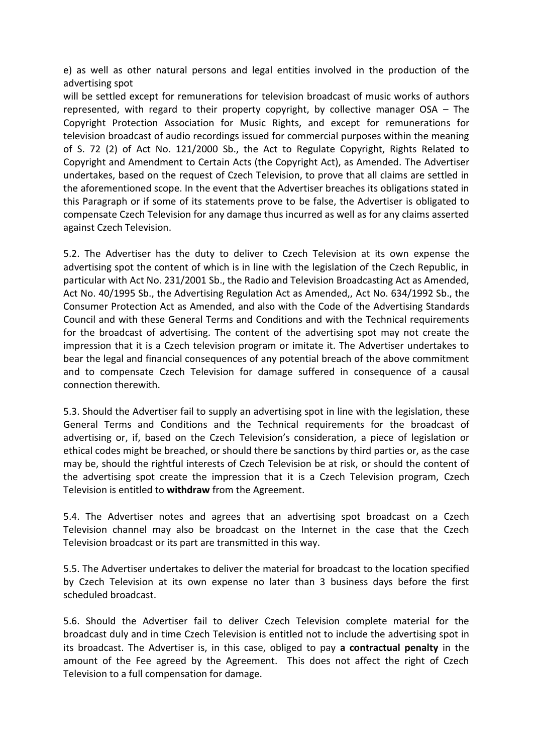e) as well as other natural persons and legal entities involved in the production of the advertising spot

will be settled except for remunerations for television broadcast of music works of authors represented, with regard to their property copyright, by collective manager OSA – The Copyright Protection Association for Music Rights, and except for remunerations for television broadcast of audio recordings issued for commercial purposes within the meaning of S. 72 (2) of Act No. 121/2000 Sb., the Act to Regulate Copyright, Rights Related to Copyright and Amendment to Certain Acts (the Copyright Act), as Amended. The Advertiser undertakes, based on the request of Czech Television, to prove that all claims are settled in the aforementioned scope. In the event that the Advertiser breaches its obligations stated in this Paragraph or if some of its statements prove to be false, the Advertiser is obligated to compensate Czech Television for any damage thus incurred as well as for any claims asserted against Czech Television.

5.2. The Advertiser has the duty to deliver to Czech Television at its own expense the advertising spot the content of which is in line with the legislation of the Czech Republic, in particular with Act No. 231/2001 Sb., the Radio and Television Broadcasting Act as Amended, Act No. 40/1995 Sb., the Advertising Regulation Act as Amended,, Act No. 634/1992 Sb., the Consumer Protection Act as Amended, and also with the Code of the Advertising Standards Council and with these General Terms and Conditions and with the Technical requirements for the broadcast of advertising. The content of the advertising spot may not create the impression that it is a Czech television program or imitate it. The Advertiser undertakes to bear the legal and financial consequences of any potential breach of the above commitment and to compensate Czech Television for damage suffered in consequence of a causal connection therewith.

5.3. Should the Advertiser fail to supply an advertising spot in line with the legislation, these General Terms and Conditions and the Technical requirements for the broadcast of advertising or, if, based on the Czech Television's consideration, a piece of legislation or ethical codes might be breached, or should there be sanctions by third parties or, as the case may be, should the rightful interests of Czech Television be at risk, or should the content of the advertising spot create the impression that it is a Czech Television program, Czech Television is entitled to **withdraw** from the Agreement.

5.4. The Advertiser notes and agrees that an advertising spot broadcast on a Czech Television channel may also be broadcast on the Internet in the case that the Czech Television broadcast or its part are transmitted in this way.

5.5. The Advertiser undertakes to deliver the material for broadcast to the location specified by Czech Television at its own expense no later than 3 business days before the first scheduled broadcast.

5.6. Should the Advertiser fail to deliver Czech Television complete material for the broadcast duly and in time Czech Television is entitled not to include the advertising spot in its broadcast. The Advertiser is, in this case, obliged to pay **a contractual penalty** in the amount of the Fee agreed by the Agreement. This does not affect the right of Czech Television to a full compensation for damage.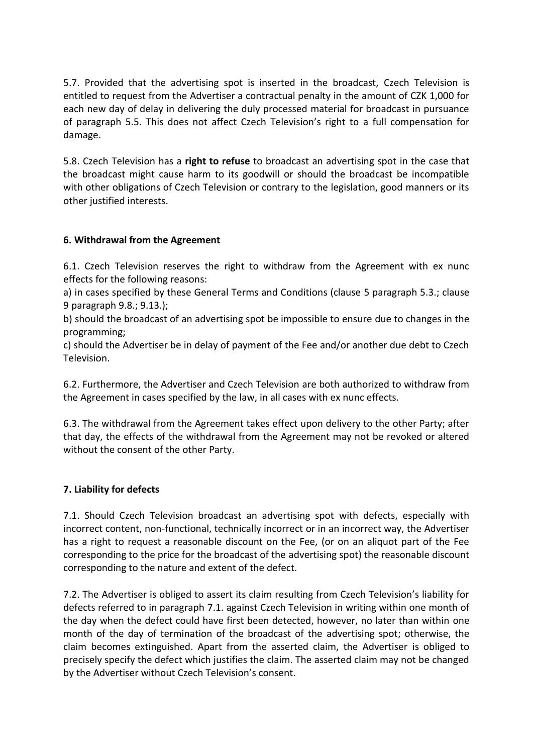5.7. Provided that the advertising spot is inserted in the broadcast, Czech Television is entitled to request from the Advertiser a contractual penalty in the amount of CZK 1,000 for each new day of delay in delivering the duly processed material for broadcast in pursuance of paragraph 5.5. This does not affect Czech Television's right to a full compensation for damage.

5.8. Czech Television has a **right to refuse** to broadcast an advertising spot in the case that the broadcast might cause harm to its goodwill or should the broadcast be incompatible with other obligations of Czech Television or contrary to the legislation, good manners or its other justified interests.

# **6. Withdrawal from the Agreement**

6.1. Czech Television reserves the right to withdraw from the Agreement with ex nunc effects for the following reasons:

a) in cases specified by these General Terms and Conditions (clause 5 paragraph 5.3.; clause 9 paragraph 9.8.; 9.13.);

b) should the broadcast of an advertising spot be impossible to ensure due to changes in the programming;

c) should the Advertiser be in delay of payment of the Fee and/or another due debt to Czech Television.

6.2. Furthermore, the Advertiser and Czech Television are both authorized to withdraw from the Agreement in cases specified by the law, in all cases with ex nunc effects.

6.3. The withdrawal from the Agreement takes effect upon delivery to the other Party; after that day, the effects of the withdrawal from the Agreement may not be revoked or altered without the consent of the other Party.

# **7. Liability for defects**

7.1. Should Czech Television broadcast an advertising spot with defects, especially with incorrect content, non-functional, technically incorrect or in an incorrect way, the Advertiser has a right to request a reasonable discount on the Fee, (or on an aliquot part of the Fee corresponding to the price for the broadcast of the advertising spot) the reasonable discount corresponding to the nature and extent of the defect.

7.2. The Advertiser is obliged to assert its claim resulting from Czech Television's liability for defects referred to in paragraph 7.1. against Czech Television in writing within one month of the day when the defect could have first been detected, however, no later than within one month of the day of termination of the broadcast of the advertising spot; otherwise, the claim becomes extinguished. Apart from the asserted claim, the Advertiser is obliged to precisely specify the defect which justifies the claim. The asserted claim may not be changed by the Advertiser without Czech Television's consent.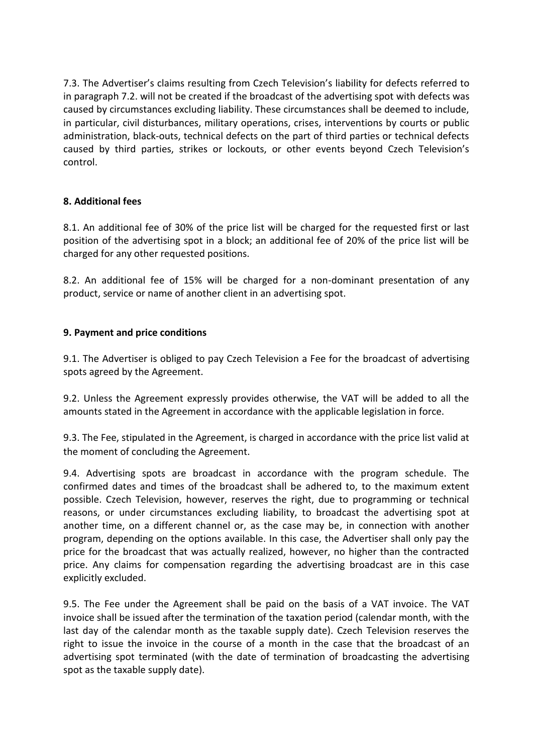7.3. The Advertiser's claims resulting from Czech Television's liability for defects referred to in paragraph 7.2. will not be created if the broadcast of the advertising spot with defects was caused by circumstances excluding liability. These circumstances shall be deemed to include, in particular, civil disturbances, military operations, crises, interventions by courts or public administration, black-outs, technical defects on the part of third parties or technical defects caused by third parties, strikes or lockouts, or other events beyond Czech Television's control.

# **8. Additional fees**

8.1. An additional fee of 30% of the price list will be charged for the requested first or last position of the advertising spot in a block; an additional fee of 20% of the price list will be charged for any other requested positions.

8.2. An additional fee of 15% will be charged for a non-dominant presentation of any product, service or name of another client in an advertising spot.

## **9. Payment and price conditions**

9.1. The Advertiser is obliged to pay Czech Television a Fee for the broadcast of advertising spots agreed by the Agreement.

9.2. Unless the Agreement expressly provides otherwise, the VAT will be added to all the amounts stated in the Agreement in accordance with the applicable legislation in force.

9.3. The Fee, stipulated in the Agreement, is charged in accordance with the price list valid at the moment of concluding the Agreement.

9.4. Advertising spots are broadcast in accordance with the program schedule. The confirmed dates and times of the broadcast shall be adhered to, to the maximum extent possible. Czech Television, however, reserves the right, due to programming or technical reasons, or under circumstances excluding liability, to broadcast the advertising spot at another time, on a different channel or, as the case may be, in connection with another program, depending on the options available. In this case, the Advertiser shall only pay the price for the broadcast that was actually realized, however, no higher than the contracted price. Any claims for compensation regarding the advertising broadcast are in this case explicitly excluded.

9.5. The Fee under the Agreement shall be paid on the basis of a VAT invoice. The VAT invoice shall be issued after the termination of the taxation period (calendar month, with the last day of the calendar month as the taxable supply date). Czech Television reserves the right to issue the invoice in the course of a month in the case that the broadcast of an advertising spot terminated (with the date of termination of broadcasting the advertising spot as the taxable supply date).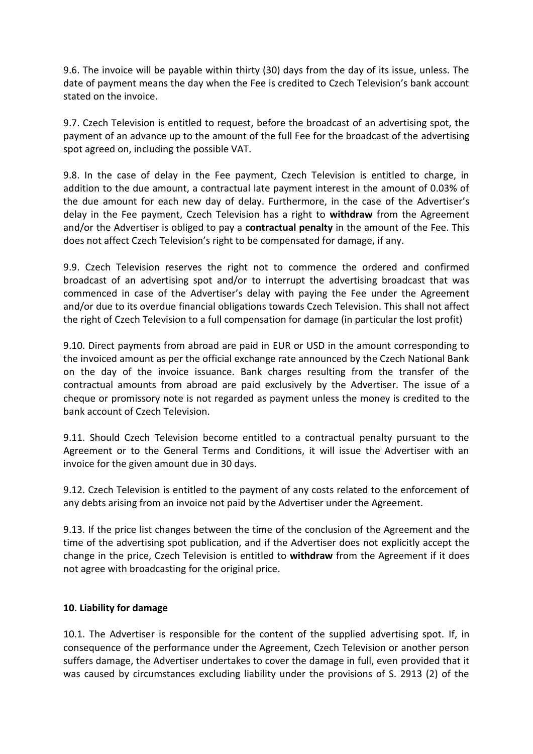9.6. The invoice will be payable within thirty (30) days from the day of its issue, unless. The date of payment means the day when the Fee is credited to Czech Television's bank account stated on the invoice.

9.7. Czech Television is entitled to request, before the broadcast of an advertising spot, the payment of an advance up to the amount of the full Fee for the broadcast of the advertising spot agreed on, including the possible VAT.

9.8. In the case of delay in the Fee payment, Czech Television is entitled to charge, in addition to the due amount, a contractual late payment interest in the amount of 0.03% of the due amount for each new day of delay. Furthermore, in the case of the Advertiser's delay in the Fee payment, Czech Television has a right to **withdraw** from the Agreement and/or the Advertiser is obliged to pay a **contractual penalty** in the amount of the Fee. This does not affect Czech Television's right to be compensated for damage, if any.

9.9. Czech Television reserves the right not to commence the ordered and confirmed broadcast of an advertising spot and/or to interrupt the advertising broadcast that was commenced in case of the Advertiser's delay with paying the Fee under the Agreement and/or due to its overdue financial obligations towards Czech Television. This shall not affect the right of Czech Television to a full compensation for damage (in particular the lost profit)

9.10. Direct payments from abroad are paid in EUR or USD in the amount corresponding to the invoiced amount as per the official exchange rate announced by the Czech National Bank on the day of the invoice issuance. Bank charges resulting from the transfer of the contractual amounts from abroad are paid exclusively by the Advertiser. The issue of a cheque or promissory note is not regarded as payment unless the money is credited to the bank account of Czech Television.

9.11. Should Czech Television become entitled to a contractual penalty pursuant to the Agreement or to the General Terms and Conditions, it will issue the Advertiser with an invoice for the given amount due in 30 days.

9.12. Czech Television is entitled to the payment of any costs related to the enforcement of any debts arising from an invoice not paid by the Advertiser under the Agreement.

9.13. If the price list changes between the time of the conclusion of the Agreement and the time of the advertising spot publication, and if the Advertiser does not explicitly accept the change in the price, Czech Television is entitled to **withdraw** from the Agreement if it does not agree with broadcasting for the original price.

# **10. Liability for damage**

10.1. The Advertiser is responsible for the content of the supplied advertising spot. If, in consequence of the performance under the Agreement, Czech Television or another person suffers damage, the Advertiser undertakes to cover the damage in full, even provided that it was caused by circumstances excluding liability under the provisions of S. 2913 (2) of the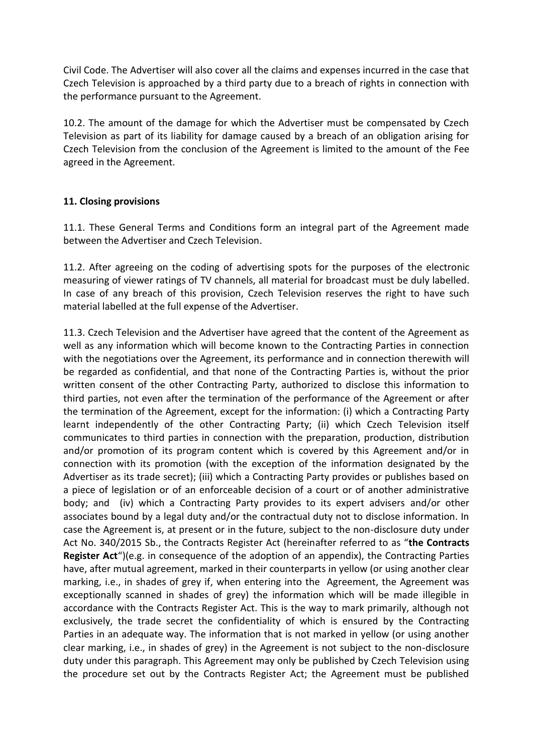Civil Code. The Advertiser will also cover all the claims and expenses incurred in the case that Czech Television is approached by a third party due to a breach of rights in connection with the performance pursuant to the Agreement.

10.2. The amount of the damage for which the Advertiser must be compensated by Czech Television as part of its liability for damage caused by a breach of an obligation arising for Czech Television from the conclusion of the Agreement is limited to the amount of the Fee agreed in the Agreement.

# **11. Closing provisions**

11.1. These General Terms and Conditions form an integral part of the Agreement made between the Advertiser and Czech Television.

11.2. After agreeing on the coding of advertising spots for the purposes of the electronic measuring of viewer ratings of TV channels, all material for broadcast must be duly labelled. In case of any breach of this provision, Czech Television reserves the right to have such material labelled at the full expense of the Advertiser.

11.3. Czech Television and the Advertiser have agreed that the content of the Agreement as well as any information which will become known to the Contracting Parties in connection with the negotiations over the Agreement, its performance and in connection therewith will be regarded as confidential, and that none of the Contracting Parties is, without the prior written consent of the other Contracting Party, authorized to disclose this information to third parties, not even after the termination of the performance of the Agreement or after the termination of the Agreement, except for the information: (i) which a Contracting Party learnt independently of the other Contracting Party; (ii) which Czech Television itself communicates to third parties in connection with the preparation, production, distribution and/or promotion of its program content which is covered by this Agreement and/or in connection with its promotion (with the exception of the information designated by the Advertiser as its trade secret); (iii) which a Contracting Party provides or publishes based on a piece of legislation or of an enforceable decision of a court or of another administrative body; and (iv) which a Contracting Party provides to its expert advisers and/or other associates bound by a legal duty and/or the contractual duty not to disclose information. In case the Agreement is, at present or in the future, subject to the non-disclosure duty under Act No. 340/2015 Sb., the Contracts Register Act (hereinafter referred to as "**the Contracts Register Act**")(e.g. in consequence of the adoption of an appendix), the Contracting Parties have, after mutual agreement, marked in their counterparts in yellow (or using another clear marking, i.e., in shades of grey if, when entering into the Agreement, the Agreement was exceptionally scanned in shades of grey) the information which will be made illegible in accordance with the Contracts Register Act. This is the way to mark primarily, although not exclusively, the trade secret the confidentiality of which is ensured by the Contracting Parties in an adequate way. The information that is not marked in yellow (or using another clear marking, i.e., in shades of grey) in the Agreement is not subject to the non-disclosure duty under this paragraph. This Agreement may only be published by Czech Television using the procedure set out by the Contracts Register Act; the Agreement must be published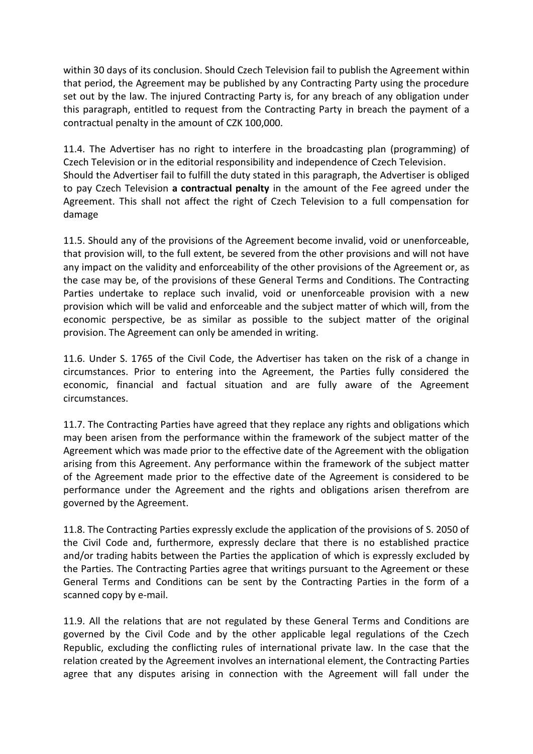within 30 days of its conclusion. Should Czech Television fail to publish the Agreement within that period, the Agreement may be published by any Contracting Party using the procedure set out by the law. The injured Contracting Party is, for any breach of any obligation under this paragraph, entitled to request from the Contracting Party in breach the payment of a contractual penalty in the amount of CZK 100,000.

11.4. The Advertiser has no right to interfere in the broadcasting plan (programming) of Czech Television or in the editorial responsibility and independence of Czech Television. Should the Advertiser fail to fulfill the duty stated in this paragraph, the Advertiser is obliged to pay Czech Television **a contractual penalty** in the amount of the Fee agreed under the Agreement. This shall not affect the right of Czech Television to a full compensation for damage

11.5. Should any of the provisions of the Agreement become invalid, void or unenforceable, that provision will, to the full extent, be severed from the other provisions and will not have any impact on the validity and enforceability of the other provisions of the Agreement or, as the case may be, of the provisions of these General Terms and Conditions. The Contracting Parties undertake to replace such invalid, void or unenforceable provision with a new provision which will be valid and enforceable and the subject matter of which will, from the economic perspective, be as similar as possible to the subject matter of the original provision. The Agreement can only be amended in writing.

11.6. Under S. 1765 of the Civil Code, the Advertiser has taken on the risk of a change in circumstances. Prior to entering into the Agreement, the Parties fully considered the economic, financial and factual situation and are fully aware of the Agreement circumstances.

11.7. The Contracting Parties have agreed that they replace any rights and obligations which may been arisen from the performance within the framework of the subject matter of the Agreement which was made prior to the effective date of the Agreement with the obligation arising from this Agreement. Any performance within the framework of the subject matter of the Agreement made prior to the effective date of the Agreement is considered to be performance under the Agreement and the rights and obligations arisen therefrom are governed by the Agreement.

11.8. The Contracting Parties expressly exclude the application of the provisions of S. 2050 of the Civil Code and, furthermore, expressly declare that there is no established practice and/or trading habits between the Parties the application of which is expressly excluded by the Parties. The Contracting Parties agree that writings pursuant to the Agreement or these General Terms and Conditions can be sent by the Contracting Parties in the form of a scanned copy by e-mail.

11.9. All the relations that are not regulated by these General Terms and Conditions are governed by the Civil Code and by the other applicable legal regulations of the Czech Republic, excluding the conflicting rules of international private law. In the case that the relation created by the Agreement involves an international element, the Contracting Parties agree that any disputes arising in connection with the Agreement will fall under the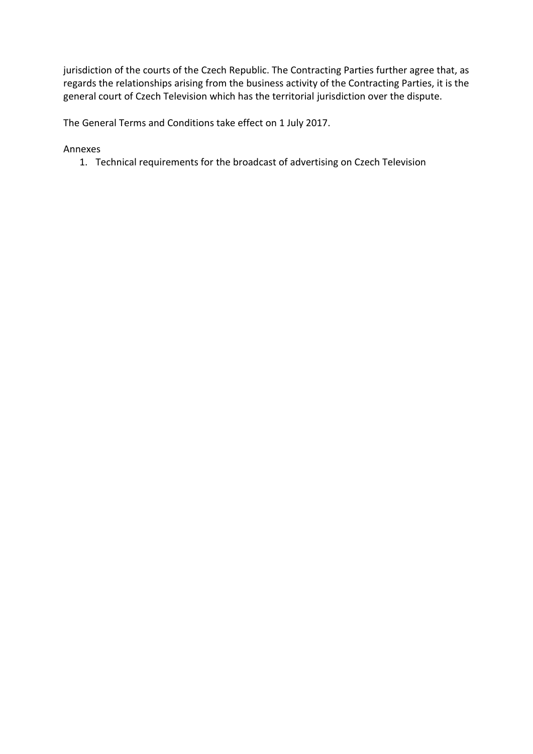jurisdiction of the courts of the Czech Republic. The Contracting Parties further agree that, as regards the relationships arising from the business activity of the Contracting Parties, it is the general court of Czech Television which has the territorial jurisdiction over the dispute.

The General Terms and Conditions take effect on 1 July 2017.

Annexes

1. Technical requirements for the broadcast of advertising on Czech Television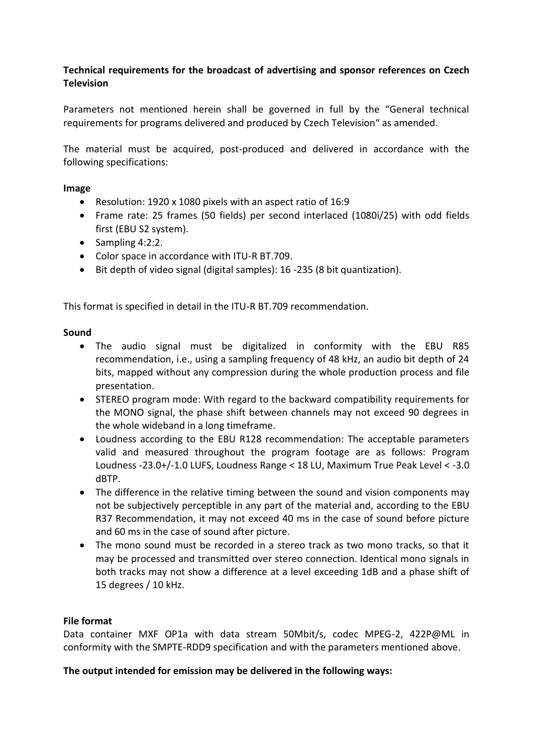# **Technical requirements for the broadcast of advertising and sponsor references on Czech Television**

Parameters not mentioned herein shall be governed in full by the "General technical requirements for programs delivered and produced by Czech Television" as amended.

The material must be acquired, post-produced and delivered in accordance with the following specifications:

#### **Image**

- Resolution: 1920 x 1080 pixels with an aspect ratio of 16:9
- Frame rate: 25 frames (50 fields) per second interlaced (1080i/25) with odd fields first (EBU S2 system).
- $\bullet$  Sampling 4:2:2.
- Color space in accordance with ITU-R BT.709.
- Bit depth of video signal (digital samples): 16 -235 (8 bit quantization).

This format is specified in detail in the ITU-R BT.709 recommendation.

#### **Sound**

- The audio signal must be digitalized in conformity with the EBU R85 recommendation, i.e., using a sampling frequency of 48 kHz, an audio bit depth of 24 bits, mapped without any compression during the whole production process and file presentation.
- STEREO program mode: With regard to the backward compatibility requirements for the MONO signal, the phase shift between channels may not exceed 90 degrees in the whole wideband in a long timeframe.
- Loudness according to the EBU R128 recommendation: The acceptable parameters valid and measured throughout the program footage are as follows: Program Loudness -23.0+/-1.0 LUFS, Loudness Range < 18 LU, Maximum True Peak Level < -3.0 dBTP.
- The difference in the relative timing between the sound and vision components may not be subjectively perceptible in any part of the material and, according to the EBU R37 Recommendation, it may not exceed 40 ms in the case of sound before picture and 60 ms in the case of sound after picture.
- The mono sound must be recorded in a stereo track as two mono tracks, so that it may be processed and transmitted over stereo connection. Identical mono signals in both tracks may not show a difference at a level exceeding 1dB and a phase shift of 15 degrees / 10 kHz.

#### **File format**

Data container MXF OP1a with data stream 50Mbit/s, codec MPEG-2, 422P@ML in conformity with the SMPTE-RDD9 specification and with the parameters mentioned above.

**The output intended for emission may be delivered in the following ways:**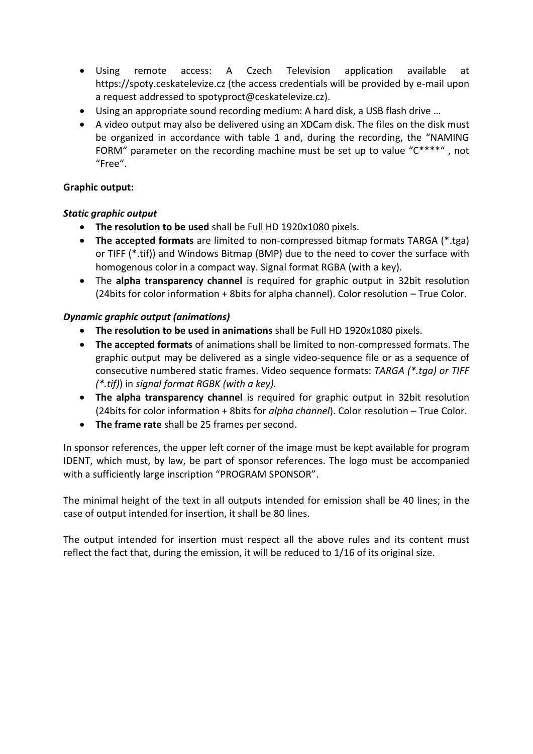- Using remote access: A Czech Television application available at https://spoty.ceskatelevize.cz (the access credentials will be provided by e-mail upon a request addressed to spotyproct@ceskatelevize.cz).
- Using an appropriate sound recording medium: A hard disk, a USB flash drive …
- A video output may also be delivered using an XDCam disk. The files on the disk must be organized in accordance with table 1 and, during the recording, the "NAMING FORM" parameter on the recording machine must be set up to value "C\*\*\*\*" , not "Free".

# **Graphic output:**

# *Static graphic output*

- **The resolution to be used** shall be Full HD 1920x1080 pixels.
- **The accepted formats** are limited to non-compressed bitmap formats TARGA (\*.tga) or TIFF (\*.tif)) and Windows Bitmap (BMP) due to the need to cover the surface with homogenous color in a compact way. Signal format RGBA (with a key).
- The **alpha transparency channel** is required for graphic output in 32bit resolution (24bits for color information + 8bits for alpha channel). Color resolution – True Color.

# *Dynamic graphic output (animations)*

- **The resolution to be used in animations** shall be Full HD 1920x1080 pixels.
- **The accepted formats** of animations shall be limited to non-compressed formats. The graphic output may be delivered as a single video-sequence file or as a sequence of consecutive numbered static frames. Video sequence formats: *TARGA (\*.tga) or TIFF (\*.tif)*) in *signal format RGBK (with a key).*
- **The alpha transparency channel** is required for graphic output in 32bit resolution (24bits for color information + 8bits for *alpha channel*). Color resolution – True Color.
- **The frame rate** shall be 25 frames per second.

In sponsor references, the upper left corner of the image must be kept available for program IDENT, which must, by law, be part of sponsor references. The logo must be accompanied with a sufficiently large inscription "PROGRAM SPONSOR".

The minimal height of the text in all outputs intended for emission shall be 40 lines; in the case of output intended for insertion, it shall be 80 lines.

The output intended for insertion must respect all the above rules and its content must reflect the fact that, during the emission, it will be reduced to 1/16 of its original size.